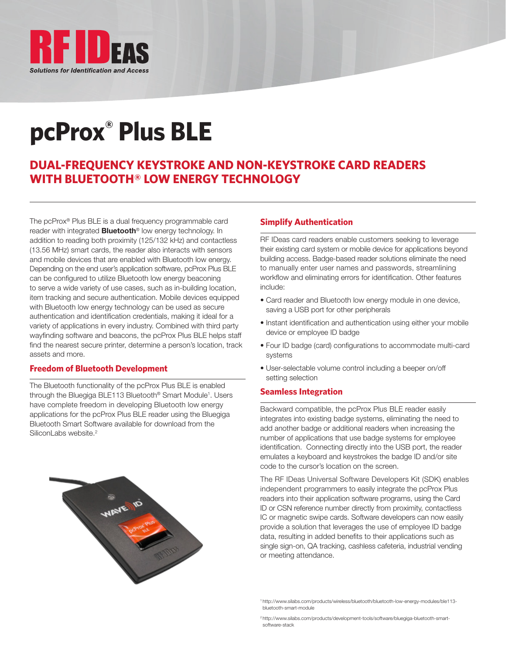

# **pcProx® Plus BLE**

### **DUAL-FREQUENCY KEYSTROKE AND NON-KEYSTROKE CARD READERS WITH BLUETOOTH® LOW ENERGY TECHNOLOGY**

The pcProx® Plus BLE is a dual frequency programmable card reader with integrated **Bluetooth®** low energy technology. In addition to reading both proximity (125/132 kHz) and contactless (13.56 MHz) smart cards, the reader also interacts with sensors and mobile devices that are enabled with Bluetooth low energy. Depending on the end user's application software, pcProx Plus BLE can be configured to utilize Bluetooth low energy beaconing to serve a wide variety of use cases, such as in-building location, item tracking and secure authentication. Mobile devices equipped with Bluetooth low energy technology can be used as secure authentication and identification credentials, making it ideal for a variety of applications in every industry. Combined with third party wayfinding software and beacons, the pcProx Plus BLE helps staff find the nearest secure printer, determine a person's location, track assets and more.

#### **Freedom of Bluetooth Development**

The Bluetooth functionality of the pcProx Plus BLE is enabled through the Bluegiga BLE113 Bluetooth® Smart Module1 . Users have complete freedom in developing Bluetooth low energy applications for the pcProx Plus BLE reader using the Bluegiga Bluetooth Smart Software available for download from the SiliconLabs website.<sup>2</sup>



#### **Simplify Authentication**

RF IDeas card readers enable customers seeking to leverage their existing card system or mobile device for applications beyond building access. Badge-based reader solutions eliminate the need to manually enter user names and passwords, streamlining workflow and eliminating errors for identification. Other features include:

- Card reader and Bluetooth low energy module in one device, saving a USB port for other peripherals
- Instant identification and authentication using either your mobile device or employee ID badge
- Four ID badge (card) configurations to accommodate multi-card systems
- User-selectable volume control including a beeper on/off setting selection

#### **Seamless Integration**

Backward compatible, the pcProx Plus BLE reader easily integrates into existing badge systems, eliminating the need to add another badge or additional readers when increasing the number of applications that use badge systems for employee identification. Connecting directly into the USB port, the reader emulates a keyboard and keystrokes the badge ID and/or site code to the cursor's location on the screen.

The RF IDeas Universal Software Developers Kit (SDK) enables independent programmers to easily integrate the pcProx Plus readers into their application software programs, using the Card ID or CSN reference number directly from proximity, contactless IC or magnetic swipe cards. Software developers can now easily provide a solution that leverages the use of employee ID badge data, resulting in added benefits to their applications such as single sign-on, QA tracking, cashless cafeteria, industrial vending or meeting attendance.

<sup>1</sup> http://www.silabs.com/products/wireless/bluetooth/bluetooth-low-energy-modules/ble113 bluetooth-smart-module

<sup>2</sup> http://www.silabs.com/products/development-tools/software/bluegiga-bluetooth-smartsoftware-stack